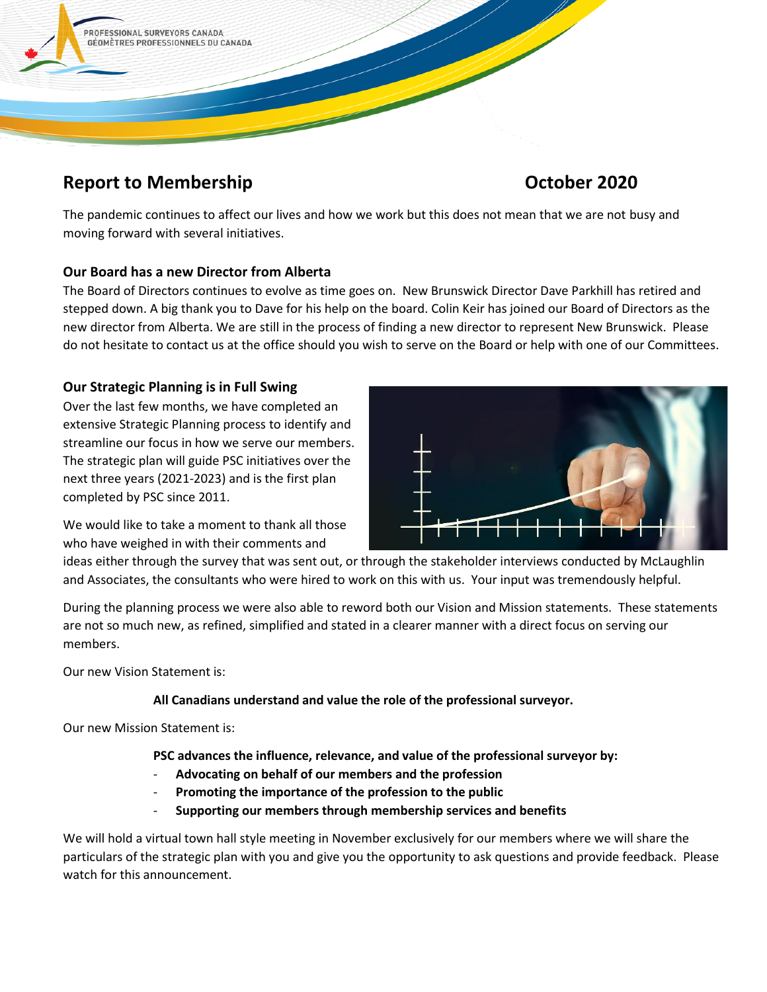

# **Report to Membership Contract Contract Contract Contract Contract Contract Contract Contract Contract Contract Contract Contract Contract Contract Contract Contract Contract Contract Contract Contract Contract Contract Co**

The pandemic continues to affect our lives and how we work but this does not mean that we are not busy and moving forward with several initiatives.

# **Our Board has a new Director from Alberta**

The Board of Directors continues to evolve as time goes on. New Brunswick Director Dave Parkhill has retired and stepped down. A big thank you to Dave for his help on the board. Colin Keir has joined our Board of Directors as the new director from Alberta. We are still in the process of finding a new director to represent New Brunswick. Please do not hesitate to contact us at the office should you wish to serve on the Board or help with one of our Committees.

# **Our Strategic Planning is in Full Swing**

Over the last few months, we have completed an extensive Strategic Planning process to identify and streamline our focus in how we serve our members. The strategic plan will guide PSC initiatives over the next three years (2021-2023) and is the first plan completed by PSC since 2011.



We would like to take a moment to thank all those who have weighed in with their comments and

ideas either through the survey that was sent out, or through the stakeholder interviews conducted by McLaughlin and Associates, the consultants who were hired to work on this with us. Your input was tremendously helpful.

During the planning process we were also able to reword both our Vision and Mission statements. These statements are not so much new, as refined, simplified and stated in a clearer manner with a direct focus on serving our members.

Our new Vision Statement is:

# **All Canadians understand and value the role of the professional surveyor.**

Our new Mission Statement is:

**PSC advances the influence, relevance, and value of the professional surveyor by:** 

- **Advocating on behalf of our members and the profession**
- **Promoting the importance of the profession to the public**
- **Supporting our members through membership services and benefits**

We will hold a virtual town hall style meeting in November exclusively for our members where we will share the particulars of the strategic plan with you and give you the opportunity to ask questions and provide feedback. Please watch for this announcement.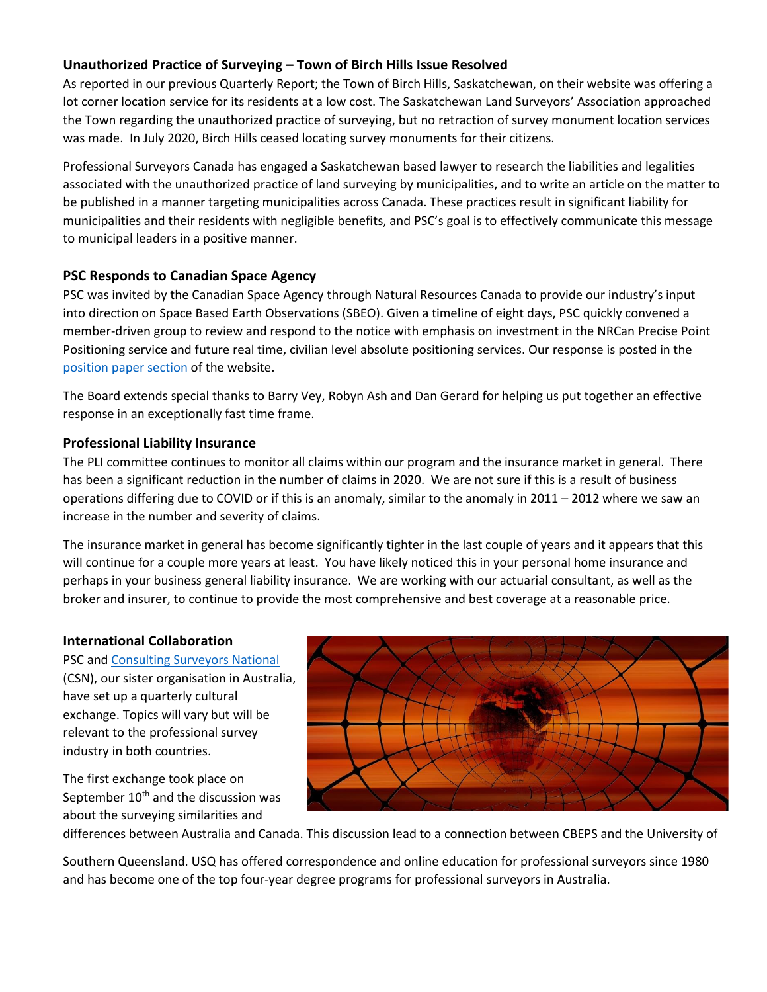## **Unauthorized Practice of Surveying – Town of Birch Hills Issue Resolved**

As reported in our previous Quarterly Report; the Town of Birch Hills, Saskatchewan, on their website was offering a lot corner location service for its residents at a low cost. The Saskatchewan Land Surveyors' Association approached the Town regarding the unauthorized practice of surveying, but no retraction of survey monument location services was made. In July 2020, Birch Hills ceased locating survey monuments for their citizens.

Professional Surveyors Canada has engaged a Saskatchewan based lawyer to research the liabilities and legalities associated with the unauthorized practice of land surveying by municipalities, and to write an article on the matter to be published in a manner targeting municipalities across Canada. These practices result in significant liability for municipalities and their residents with negligible benefits, and PSC's goal is to effectively communicate this message to municipal leaders in a positive manner.

### **PSC Responds to Canadian Space Agency**

PSC was invited by the Canadian Space Agency through Natural Resources Canada to provide our industry's input into direction on Space Based Earth Observations (SBEO). Given a timeline of eight days, PSC quickly convened a member-driven group to review and respond to the notice with emphasis on investment in the NRCan Precise Point Positioning service and future real time, civilian level absolute positioning services. Our response is posted in the [position paper section](https://www.psc-gpc.ca/news-and-connect/initiatives/position-papers/) of the website.

The Board extends special thanks to Barry Vey, Robyn Ash and Dan Gerard for helping us put together an effective response in an exceptionally fast time frame.

### **Professional Liability Insurance**

The PLI committee continues to monitor all claims within our program and the insurance market in general. There has been a significant reduction in the number of claims in 2020. We are not sure if this is a result of business operations differing due to COVID or if this is an anomaly, similar to the anomaly in 2011 – 2012 where we saw an increase in the number and severity of claims.

The insurance market in general has become significantly tighter in the last couple of years and it appears that this will continue for a couple more years at least. You have likely noticed this in your personal home insurance and perhaps in your business general liability insurance. We are working with our actuarial consultant, as well as the broker and insurer, to continue to provide the most comprehensive and best coverage at a reasonable price.

### **International Collaboration**

PSC and [Consulting Surveyors National](https://www.consultingsurveyors.com.au/) (CSN), our sister organisation in Australia, have set up a quarterly cultural exchange. Topics will vary but will be relevant to the professional survey industry in both countries.

The first exchange took place on September  $10<sup>th</sup>$  and the discussion was about the surveying similarities and



differences between Australia and Canada. This discussion lead to a connection between CBEPS and the University of

Southern Queensland. USQ has offered correspondence and online education for professional surveyors since 1980 and has become one of the top four-year degree programs for professional surveyors in Australia.